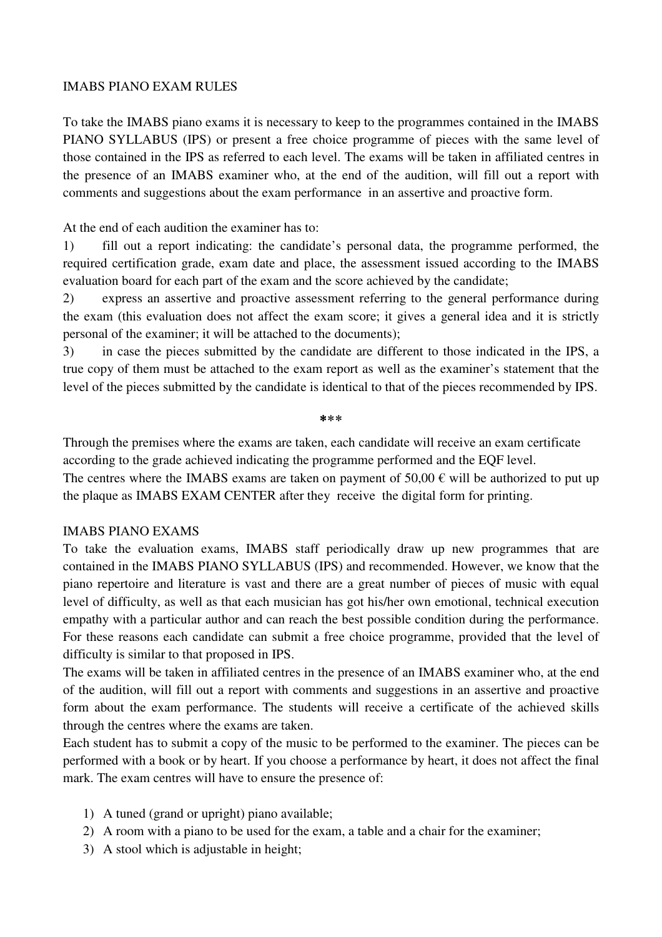### IMABS PIANO EXAM RULES

To take the IMABS piano exams it is necessary to keep to the programmes contained in the IMABS PIANO SYLLABUS (IPS) or present a free choice programme of pieces with the same level of those contained in the IPS as referred to each level. The exams will be taken in affiliated centres in the presence of an IMABS examiner who, at the end of the audition, will fill out a report with comments and suggestions about the exam performance in an assertive and proactive form.

At the end of each audition the examiner has to:

1) fill out a report indicating: the candidate's personal data, the programme performed, the required certification grade, exam date and place, the assessment issued according to the IMABS evaluation board for each part of the exam and the score achieved by the candidate;

2) express an assertive and proactive assessment referring to the general performance during the exam (this evaluation does not affect the exam score; it gives a general idea and it is strictly personal of the examiner; it will be attached to the documents);

3) in case the pieces submitted by the candidate are different to those indicated in the IPS, a true copy of them must be attached to the exam report as well as the examiner's statement that the level of the pieces submitted by the candidate is identical to that of the pieces recommended by IPS.

⃰ ⃰ ⃰

Through the premises where the exams are taken, each candidate will receive an exam certificate according to the grade achieved indicating the programme performed and the EQF level.

The centres where the IMABS exams are taken on payment of  $50,00 \in \text{will}$  be authorized to put up the plaque as IMABS EXAM CENTER after they receive the digital form for printing.

## IMABS PIANO EXAMS

To take the evaluation exams, IMABS staff periodically draw up new programmes that are contained in the IMABS PIANO SYLLABUS (IPS) and recommended. However, we know that the piano repertoire and literature is vast and there are a great number of pieces of music with equal level of difficulty, as well as that each musician has got his/her own emotional, technical execution empathy with a particular author and can reach the best possible condition during the performance. For these reasons each candidate can submit a free choice programme, provided that the level of difficulty is similar to that proposed in IPS.

The exams will be taken in affiliated centres in the presence of an IMABS examiner who, at the end of the audition, will fill out a report with comments and suggestions in an assertive and proactive form about the exam performance. The students will receive a certificate of the achieved skills through the centres where the exams are taken.

Each student has to submit a copy of the music to be performed to the examiner. The pieces can be performed with a book or by heart. If you choose a performance by heart, it does not affect the final mark. The exam centres will have to ensure the presence of:

- 1) A tuned (grand or upright) piano available;
- 2) A room with a piano to be used for the exam, a table and a chair for the examiner;
- 3) A stool which is adjustable in height;